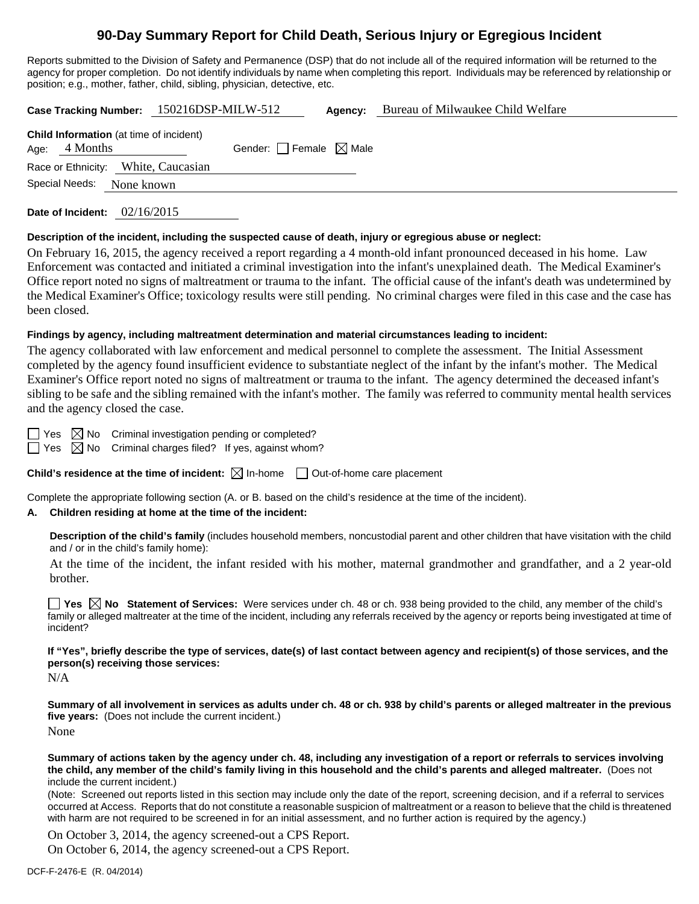# **90-Day Summary Report for Child Death, Serious Injury or Egregious Incident**

Reports submitted to the Division of Safety and Permanence (DSP) that do not include all of the required information will be returned to the agency for proper completion. Do not identify individuals by name when completing this report. Individuals may be referenced by relationship or position; e.g., mother, father, child, sibling, physician, detective, etc.

**Case Tracking Number:** 150216DSP-MILW-512 **Agency:** Bureau of Milwaukee Child Welfare

| <b>Child Information</b> (at time of incident)<br>Age: 4 Months | Gender: $\Box$ Female $\boxtimes$ Male |
|-----------------------------------------------------------------|----------------------------------------|
| Race or Ethnicity: White, Caucasian                             |                                        |
| Special Needs: None known                                       |                                        |
|                                                                 |                                        |

**Date of Incident:** 02/16/2015

#### **Description of the incident, including the suspected cause of death, injury or egregious abuse or neglect:**

On February 16, 2015, the agency received a report regarding a 4 month-old infant pronounced deceased in his home. Law Enforcement was contacted and initiated a criminal investigation into the infant's unexplained death. The Medical Examiner's Office report noted no signs of maltreatment or trauma to the infant. The official cause of the infant's death was undetermined by the Medical Examiner's Office; toxicology results were still pending. No criminal charges were filed in this case and the case has been closed.

#### **Findings by agency, including maltreatment determination and material circumstances leading to incident:**

The agency collaborated with law enforcement and medical personnel to complete the assessment. The Initial Assessment completed by the agency found insufficient evidence to substantiate neglect of the infant by the infant's mother. The Medical Examiner's Office report noted no signs of maltreatment or trauma to the infant. The agency determined the deceased infant's sibling to be safe and the sibling remained with the infant's mother. The family was referred to community mental health services and the agency closed the case.

Yes  $\boxtimes$  No Criminal investigation pending or completed?

 $\Box$  Yes  $\boxtimes$  No Criminal charges filed? If yes, against whom?

**Child's residence at the time of incident:**  $\boxtimes$  In-home  $\Box$  Out-of-home care placement

Complete the appropriate following section (A. or B. based on the child's residence at the time of the incident).

#### **A. Children residing at home at the time of the incident:**

**Description of the child's family** (includes household members, noncustodial parent and other children that have visitation with the child and / or in the child's family home):

 At the time of the incident, the infant resided with his mother, maternal grandmother and grandfather, and a 2 year-old brother.

**Yes No** Statement of Services: Were services under ch. 48 or ch. 938 being provided to the child, any member of the child's family or alleged maltreater at the time of the incident, including any referrals received by the agency or reports being investigated at time of incident?

### **If "Yes", briefly describe the type of services, date(s) of last contact between agency and recipient(s) of those services, and the person(s) receiving those services:**

N/A

**Summary of all involvement in services as adults under ch. 48 or ch. 938 by child's parents or alleged maltreater in the previous five years:** (Does not include the current incident.) None

**Summary of actions taken by the agency under ch. 48, including any investigation of a report or referrals to services involving the child, any member of the child's family living in this household and the child's parents and alleged maltreater.** (Does not include the current incident.)

(Note: Screened out reports listed in this section may include only the date of the report, screening decision, and if a referral to services occurred at Access. Reports that do not constitute a reasonable suspicion of maltreatment or a reason to believe that the child is threatened with harm are not required to be screened in for an initial assessment, and no further action is required by the agency.)

On October 3, 2014, the agency screened-out a CPS Report.

On October 6, 2014, the agency screened-out a CPS Report.